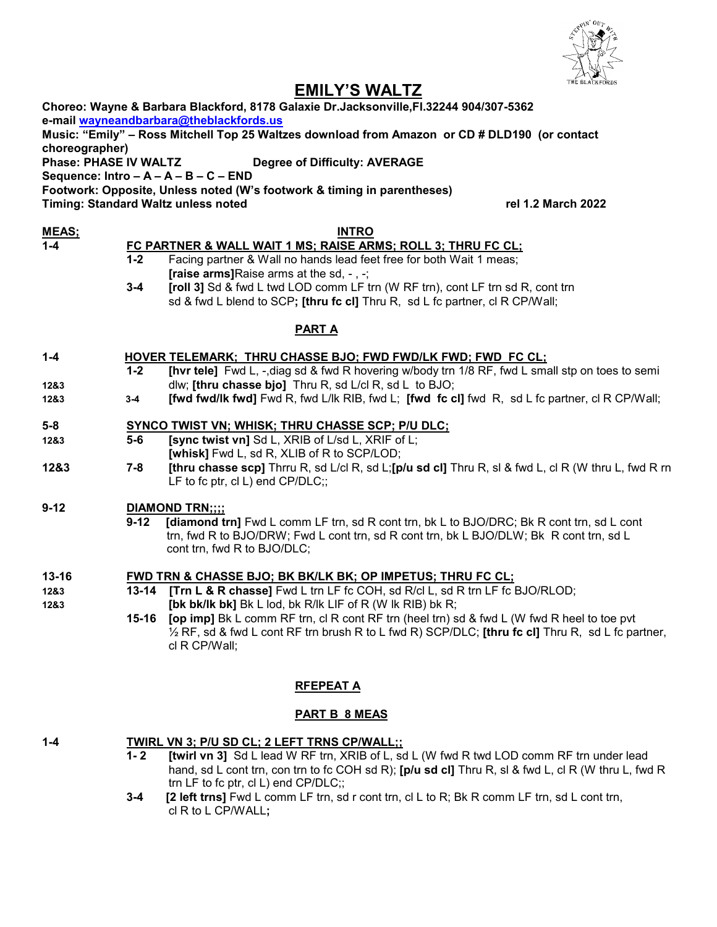

# **EMILY'S WALTZ**

|                              | LIVILLI U VYALIL                                                                                                             |  |
|------------------------------|------------------------------------------------------------------------------------------------------------------------------|--|
|                              | Choreo: Wayne & Barbara Blackford, 8178 Galaxie Dr.Jacksonville, Fl.32244 904/307-5362                                       |  |
|                              | e-mail wayneandbarbara@theblackfords.us                                                                                      |  |
|                              | Music: "Emily" - Ross Mitchell Top 25 Waltzes download from Amazon or CD # DLD190 (or contact                                |  |
| <b>Phase: PHASE IV WALTZ</b> | <b>Degree of Difficulty: AVERAGE</b>                                                                                         |  |
|                              | Sequence: Intro $- A - A - B - C - END$                                                                                      |  |
|                              | Footwork: Opposite, Unless noted (W's footwork & timing in parentheses)                                                      |  |
|                              | rel 1.2 March 2022<br><b>Timing: Standard Waltz unless noted</b>                                                             |  |
|                              | <b>INTRO</b>                                                                                                                 |  |
|                              | FC PARTNER & WALL WAIT 1 MS; RAISE ARMS; ROLL 3; THRU FC CL;                                                                 |  |
|                              | Facing partner & Wall no hands lead feet free for both Wait 1 meas;                                                          |  |
|                              | [raise arms] Raise arms at the sd, $-$ , $-$ ;                                                                               |  |
|                              | [roll 3] Sd & fwd L twd LOD comm LF trn (W RF trn), cont LF trn sd R, cont trn                                               |  |
|                              | sd & fwd L blend to SCP; [thru fc cl] Thru R, sd L fc partner, cl R CP/Wall;                                                 |  |
|                              |                                                                                                                              |  |
| <b>PARTA</b>                 |                                                                                                                              |  |
|                              | <b>HOVER TELEMARK; THRU CHASSE BJO; FWD FWD/LK FWD; FWD FC CL;</b>                                                           |  |
|                              | [hvr tele] Fwd L, -, diag sd & fwd R hovering w/body trn 1/8 RF, fwd L small stp on toes to semi                             |  |
|                              | dlw; [thru chasse bjo] Thru R, sd L/cl R, sd L to BJO;                                                                       |  |
| $3-4$                        | [fwd fwd/lk fwd] Fwd R, fwd L/lk RIB, fwd L; [fwd fc cl] fwd R, sd L fc partner, cl R CP/Wall;                               |  |
|                              |                                                                                                                              |  |
|                              | <b>SYNCO TWIST VN; WHISK; THRU CHASSE SCP; P/U DLC;</b>                                                                      |  |
|                              | [sync twist vn] Sd L, XRIB of L/sd L, XRIF of L;                                                                             |  |
|                              | [whisk] Fwd L, sd R, XLIB of R to SCP/LOD;                                                                                   |  |
|                              | [thru chasse scp] Thrru R, sd L/cl R, sd L;[p/u sd cl] Thru R, sl & fwd L, cl R (W thru L, fwd R rn                          |  |
|                              | LF to fc ptr, cl L) end CP/DLC;;                                                                                             |  |
|                              | <b>DIAMOND TRN;;;;</b>                                                                                                       |  |
|                              | [diamond trn] Fwd L comm LF trn, sd R cont trn, bk L to BJO/DRC; Bk R cont trn, sd L cont                                    |  |
|                              | trn, fwd R to BJO/DRW; Fwd L cont trn, sd R cont trn, bk L BJO/DLW; Bk R cont trn, sd L                                      |  |
|                              | cont trn, fwd R to BJO/DLC;                                                                                                  |  |
|                              |                                                                                                                              |  |
|                              | <b>FWD TRN &amp; CHASSE BJO; BK BK/LK BK; OP IMPETUS; THRU FC CL;</b>                                                        |  |
|                              | [Trn L & R chasse] Fwd L trn LF fc COH, sd R/cl L, sd R trn LF fc BJO/RLOD;                                                  |  |
|                              | [bk bk/lk bk] Bk L lod, bk R/lk LIF of R (W lk RIB) bk R;                                                                    |  |
|                              | [op imp] Bk L comm RF trn, cl R cont RF trn (heel trn) sd & fwd L (W fwd R heel to toe pvt                                   |  |
|                              | $\frac{1}{2}$ RF, sd & fwd L cont RF trn brush R to L fwd R) SCP/DLC; [thru fc cl] Thru R, sd L fc partner,<br>cl R CP/Wall; |  |
|                              |                                                                                                                              |  |
|                              | choreographer)<br>$1-2$<br>$3 - 4$<br>$1 - 2$<br>$5-6$<br>$7 - 8$<br>$9 - 12$<br>13-14<br>$15 - 16$                          |  |

# **RFEPEAT A**

## **PART B 8 MEAS**

- **1-4 TWIRL VN 3; P/U SD CL; 2 LEFT TRNS CP/WALL;; 1- 2 [twirl vn 3]** Sd L lead W RF trn, XRIB of L, sd L (W fwd R twd LOD comm RF trn under lead
	- hand, sd L cont trn, con trn to fc COH sd R); **[p/u sd cl]** Thru R, sl & fwd L, cl R (W thru L, fwd R trn LF to fc ptr, cl L) end CP/DLC;;
	- **3-4 [2 left trns]** Fwd L comm LF trn, sd r cont trn, cl L to R; Bk R comm LF trn, sd L cont trn, cl R to L CP/WALL**;**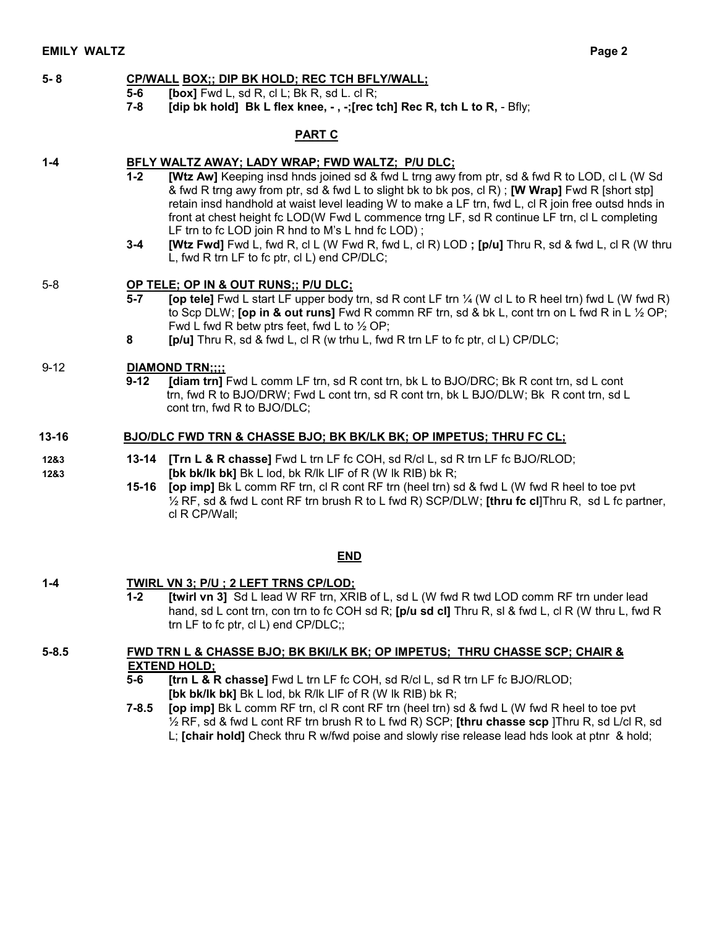#### **5- 8 CP/WALL BOX;; DIP BK HOLD; REC TCH BFLY/WALL;**

- **5-6 [box]** Fwd L, sd R, cl L; Bk R, sd L. cl R;
	- **7-8 [dip bk hold] Bk L flex knee, - , -;[rec tch] Rec R, tch L to R,**  Bfly;

## **PART C**

## **1-4 BFLY WALTZ AWAY; LADY WRAP; FWD WALTZ; P/U DLC;**

- **1-2 [Wtz Aw]** Keeping insd hnds joined sd & fwd L trng awy from ptr, sd & fwd R to LOD, cl L (W Sd & fwd R trng awy from ptr, sd & fwd L to slight bk to bk pos, cl R) ; **[W Wrap]** Fwd R [short stp] retain insd handhold at waist level leading W to make a LF trn, fwd L, cl R join free outsd hnds in front at chest height fc LOD(W Fwd L commence trng LF, sd R continue LF trn, cl L completing LF trn to fc LOD join R hnd to M's L hnd fc LOD);
- **3-4 [Wtz Fwd]** Fwd L, fwd R, cl L (W Fwd R, fwd L, cl R) LOD **; [p/u]** Thru R, sd & fwd L, cl R (W thru L, fwd R trn LF to fc ptr, cl L) end CP/DLC;

## 5-8 **OP TELE; OP IN & OUT RUNS;; P/U DLC;**

- **5-7 [op tele]** Fwd L start LF upper body trn, sd R cont LF trn ¼ (W cl L to R heel trn) fwd L (W fwd R) to Scp DLW; **[op in & out runs]** Fwd R commn RF trn, sd & bk L, cont trn on L fwd R in L ½ OP; Fwd L fwd R betw ptrs feet, fwd L to  $\frac{1}{2}$  OP;
- **8 [p/u]** Thru R, sd & fwd L, cl R (w trhu L, fwd R trn LF to fc ptr, cl L) CP/DLC;

## 9-12 **DIAMOND TRN;;;;**

 **9-12 [diam trn]** Fwd L comm LF trn, sd R cont trn, bk L to BJO/DRC; Bk R cont trn, sd L cont trn, fwd R to BJO/DRW; Fwd L cont trn, sd R cont trn, bk L BJO/DLW; Bk R cont trn, sd L cont trn, fwd R to BJO/DLC;

## **13-16 BJO/DLC FWD TRN & CHASSE BJO; BK BK/LK BK; OP IMPETUS; THRU FC CL;**

- **12&3 13-14 [Trn L & R chasse]** Fwd L trn LF fc COH, sd R/cl L, sd R trn LF fc BJO/RLOD; **12&3 [bk bk/lk bk]** Bk L lod, bk R/lk LIF of R (W lk RIB) bk R;
	- **15-16 [op imp]** Bk L comm RF trn, cl R cont RF trn (heel trn) sd & fwd L (W fwd R heel to toe pvt ½ RF, sd & fwd L cont RF trn brush R to L fwd R) SCP/DLW; **[thru fc cl**]Thru R, sd L fc partner, cl R CP/Wall;

## **END**

## **1-4 TWIRL VN 3; P/U ; 2 LEFT TRNS CP/LOD;**

**1-2 [twirl vn 3]** Sd L lead W RF trn, XRIB of L, sd L (W fwd R twd LOD comm RF trn under lead hand, sd L cont trn, con trn to fc COH sd R; **[p/u sd cl]** Thru R, sl & fwd L, cl R (W thru L, fwd R trn LF to fc ptr, cl L) end CP/DLC;;

## **5-8.5 FWD TRN L & CHASSE BJO; BK BKI/LK BK; OP IMPETUS; THRU CHASSE SCP; CHAIR & EXTEND HOLD;**

- **5-6 [trn L & R chasse]** Fwd L trn LF fc COH, sd R/cl L, sd R trn LF fc BJO/RLOD; **[bk bk/lk bk]** Bk L lod, bk R/lk LIF of R (W lk RIB) bk R;
- **7-8.5 [op imp]** Bk L comm RF trn, cl R cont RF trn (heel trn) sd & fwd L (W fwd R heel to toe pvt ½ RF, sd & fwd L cont RF trn brush R to L fwd R) SCP; **[thru chasse scp** ]Thru R, sd L/cl R, sd L; **[chair hold]** Check thru R w/fwd poise and slowly rise release lead hds look at ptnr & hold;